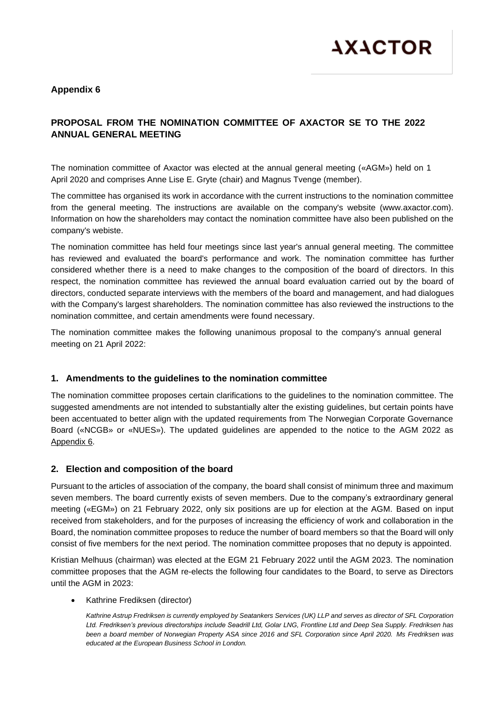

## **Appendix 6**

# **PROPOSAL FROM THE NOMINATION COMMITTEE OF AXACTOR SE TO THE 2022 ANNUAL GENERAL MEETING**

The nomination committee of Axactor was elected at the annual general meeting («AGM») held on 1 April 2020 and comprises Anne Lise E. Gryte (chair) and Magnus Tvenge (member).

The committee has organised its work in accordance with the current instructions to the nomination committee from the general meeting. The instructions are available on the company's website (www.axactor.com). Information on how the shareholders may contact the nomination committee have also been published on the company's webiste.

The nomination committee has held four meetings since last year's annual general meeting. The committee has reviewed and evaluated the board's performance and work. The nomination committee has further considered whether there is a need to make changes to the composition of the board of directors. In this respect, the nomination committee has reviewed the annual board evaluation carried out by the board of directors, conducted separate interviews with the members of the board and management, and had dialogues with the Company's largest shareholders. The nomination committee has also reviewed the instructions to the nomination committee, and certain amendments were found necessary.

The nomination committee makes the following unanimous proposal to the company's annual general meeting on 21 April 2022:

## **1. Amendments to the guidelines to the nomination committee**

The nomination committee proposes certain clarifications to the guidelines to the nomination committee. The suggested amendments are not intended to substantially alter the existing guidelines, but certain points have been accentuated to better align with the updated requirements from The Norwegian Corporate Governance Board («NCGB» or «NUES»). The updated guidelines are appended to the notice to the AGM 2022 as Appendix 6.

## **2. Election and composition of the board**

Pursuant to the articles of association of the company, the board shall consist of minimum three and maximum seven members. The board currently exists of seven members. Due to the company's extraordinary general meeting («EGM») on 21 February 2022, only six positions are up for election at the AGM. Based on input received from stakeholders, and for the purposes of increasing the efficiency of work and collaboration in the Board, the nomination committee proposes to reduce the number of board members so that the Board will only consist of five members for the next period. The nomination committee proposes that no deputy is appointed.

Kristian Melhuus (chairman) was elected at the EGM 21 February 2022 until the AGM 2023. The nomination committee proposes that the AGM re-elects the following four candidates to the Board, to serve as Directors until the AGM in 2023:

• Kathrine Frediksen (director)

*Kathrine Astrup Fredriksen is currently employed by Seatankers Services (UK) LLP and serves as director of SFL Corporation Ltd. Fredriksen's previous directorships include Seadrill Ltd, Golar LNG, Frontline Ltd and Deep Sea Supply. Fredriksen has been a board member of Norwegian Property ASA since 2016 and SFL Corporation since April 2020. Ms Fredriksen was educated at the European Business School in London.*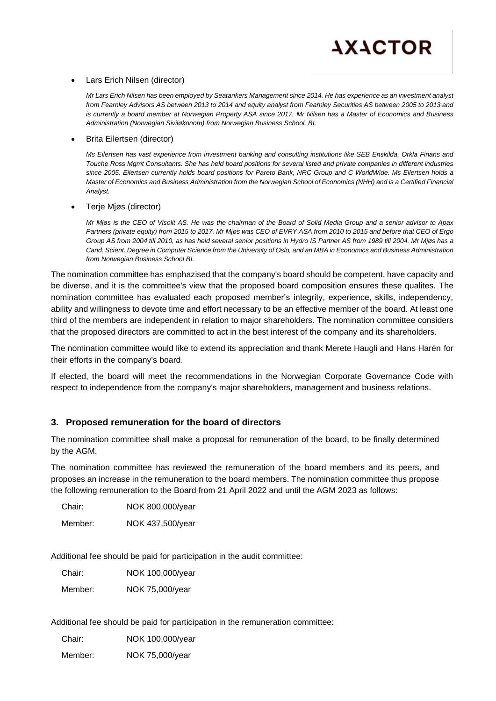

#### • Lars Erich Nilsen (director)

*Mr Lars Erich Nilsen has been employed by Seatankers Management since 2014. He has experience as an investment analyst from Fearnley Advisors AS between 2013 to 2014 and equity analyst from Fearnley Securities AS between 2005 to 2013 and is currently a board member at Norwegian Property ASA since 2017. Mr Nilsen has a Master of Economics and Business Administration (Norwegian Siviløkonom) from Norwegian Business School, BI.*

#### • Brita Eilertsen (director)

*Ms Eilertsen has vast experience from investment banking and consulting institutions like SEB Enskilda, Orkla Finans and Touche Ross Mgmt Consultants. She has held board positions for several listed and private companies in different industries since 2005. Eilertsen currently holds board positions for Pareto Bank, NRC Group and C WorldWide. Ms Eilertsen holds a Master of Economics and Business Administration from the Norwegian School of Economics (NHH) and is a Certified Financial Analyst.*

#### • Terje Mjøs (director)

*Mr Mjøs is the CEO of Visolit AS. He was the chairman of the Board of Solid Media Group and a senior advisor to Apax Partners (private equity) from 2015 to 2017. Mr Mjøs was CEO of EVRY ASA from 2010 to 2015 and before that CEO of Ergo Group AS from 2004 till 2010, as has held several senior positions in Hydro IS Partner AS from 1989 till 2004. Mr Mjøs has a Cand. Scient. Degree in Computer Science from the University of Oslo, and an MBA in Economics and Business Administration from Norwegian Business School BI.*

The nomination committee has emphazised that the company's board should be competent, have capacity and be diverse, and it is the committee's view that the proposed board composition ensures these qualites. The nomination committee has evaluated each proposed member's integrity, experience, skills, independency, ability and willingness to devote time and effort necessary to be an effective member of the board. At least one third of the members are independent in relation to major shareholders. The nomination committee considers that the proposed directors are committed to act in the best interest of the company and its shareholders.

The nomination committee would like to extend its appreciation and thank Merete Haugli and Hans Harén for their efforts in the company's board.

If elected, the board will meet the recommendations in the Norwegian Corporate Governance Code with respect to independence from the company's major shareholders, management and business relations.

### **3. Proposed remuneration for the board of directors**

The nomination committee shall make a proposal for remuneration of the board, to be finally determined by the AGM.

The nomination committee has reviewed the remuneration of the board members and its peers, and proposes an increase in the remuneration to the board members. The nomination committee thus propose the following remuneration to the Board from 21 April 2022 and until the AGM 2023 as follows:

Chair: NOK 800,000/year Member: NOK 437,500/year

Additional fee should be paid for participation in the audit committee:

Chair: NOK 100,000/year Member: NOK 75,000/year

Additional fee should be paid for participation in the remuneration committee:

Chair: NOK 100,000/year

Member: NOK 75,000/year